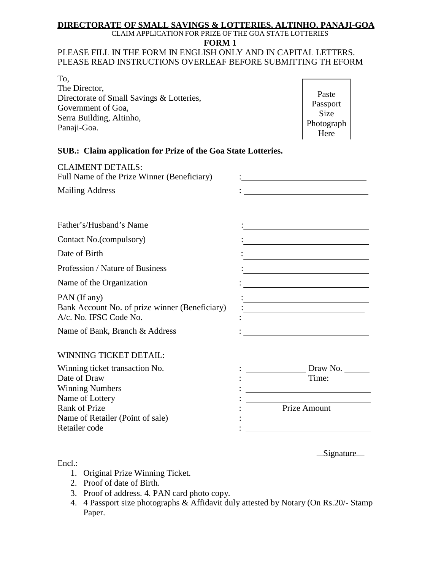# **DIRECTORATE OF SMALL SAVINGS & LOTTERIES, ALTINHO, PANAJI-GOA**

CLAIM APPLICATION FOR PRIZE OF THE GOA STATE LOTTERIES

**FORM 1**

#### PLEASE FILL IN THE FORM IN ENGLISH ONLY AND IN CAPITAL LETTERS. PLEASE READ INSTRUCTIONS OVERLEAF BEFORE SUBMITTING TH EFORM

| To.                                       |  |
|-------------------------------------------|--|
| The Director,                             |  |
| Directorate of Small Savings & Lotteries, |  |
| Government of Goa,                        |  |
| Serra Building, Altinho,                  |  |
| Panaji-Goa.                               |  |

Paste Passport Size Photograph Here

## **SUB.: Claim application for Prize of the Goa State Lotteries.**

| <b>CLAIMENT DETAILS:</b><br>Full Name of the Prize Winner (Beneficiary)                     |                                                                                                                                          |
|---------------------------------------------------------------------------------------------|------------------------------------------------------------------------------------------------------------------------------------------|
| <b>Mailing Address</b>                                                                      |                                                                                                                                          |
|                                                                                             | the control of the control of the control of the control of the control of                                                               |
| Father's/Husband's Name                                                                     |                                                                                                                                          |
| Contact No. (compulsory)                                                                    |                                                                                                                                          |
| Date of Birth                                                                               |                                                                                                                                          |
| Profession / Nature of Business                                                             | <u> 1989 - Johann Barn, mars ann an t-Amhain an t-Amhain an t-Amhain an t-Amhain an t-Amhain an t-Amhain an t-Amh</u>                    |
| Name of the Organization                                                                    |                                                                                                                                          |
| PAN (If any)<br>Bank Account No. of prize winner (Beneficiary)<br>A/c. No. IFSC Code No.    | <u> 1980 - Johann Barbara, martxa amerikan personal (</u>                                                                                |
| Name of Bank, Branch & Address                                                              |                                                                                                                                          |
| <b>WINNING TICKET DETAIL:</b>                                                               |                                                                                                                                          |
| Winning ticket transaction No.<br>Date of Draw<br><b>Winning Numbers</b><br>Name of Lottery | Draw No.<br>Time:<br><u> 1980 - Johann Barn, mars eta bainar eta baina eta baina eta baina eta baina eta baina eta baina eta baina e</u> |
| <b>Rank of Prize</b>                                                                        | Prize Amount                                                                                                                             |
| Name of Retailer (Point of sale)<br>Retailer code                                           |                                                                                                                                          |

Signature

## Encl.:

- 1. Original Prize Winning Ticket.
- 2. Proof of date of Birth.
- 3. Proof of address. 4. PAN card photo copy.
- 4. 4 Passport size photographs & Affidavit duly attested by Notary (On Rs.20/- Stamp Paper.